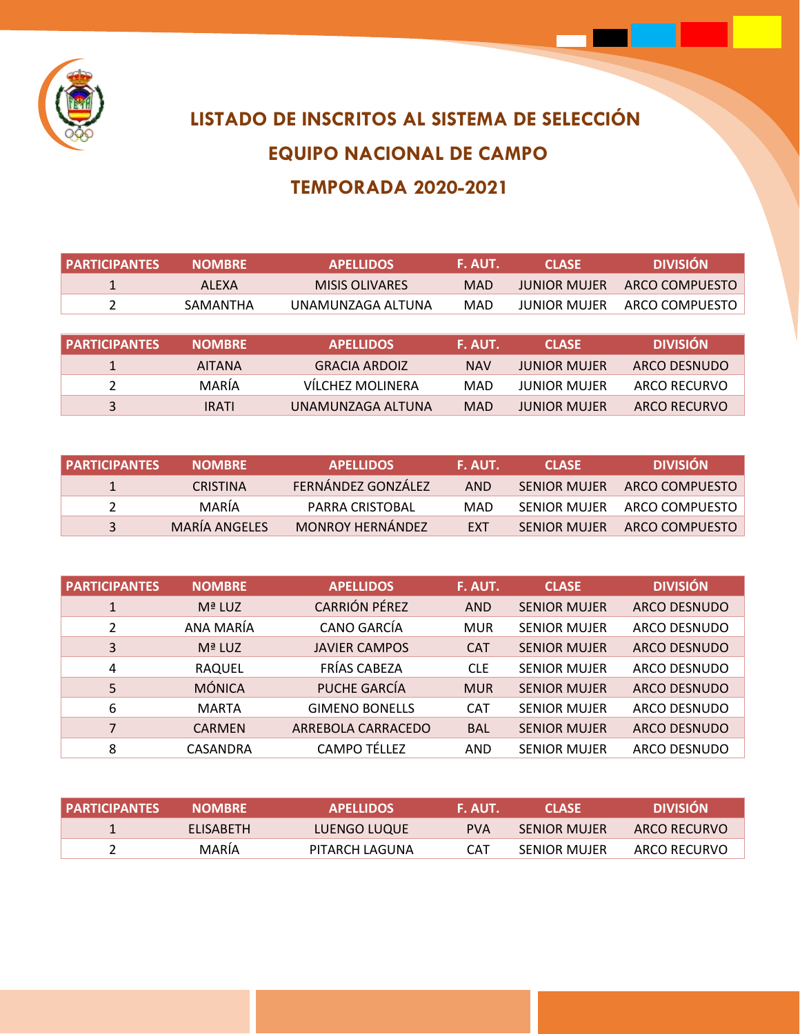

## **LISTADO DE INSCRITOS AL SISTEMA DE SELECCIÓN EQUIPO NACIONAL DE CAMPO TEMPORADA 2020-2021**

| <b>PARTICIPANTES</b> | <b>NOMBRE</b> | <b>APELLIDOS</b>      | F. AUT.    | <b>CLASE</b>        | <b>DIVISIÓN</b>     |
|----------------------|---------------|-----------------------|------------|---------------------|---------------------|
|                      | <b>ALEXA</b>  | <b>MISIS OLIVARES</b> | <b>MAD</b> | <b>JUNIOR MUJER</b> | ARCO COMPUESTO      |
| $\mathfrak{p}$       | SAMANTHA      | UNAMUNZAGA ALTUNA     | MAD        | <b>JUNIOR MUJER</b> | ARCO COMPUESTO      |
|                      |               |                       |            |                     |                     |
|                      |               |                       |            |                     |                     |
| <b>PARTICIPANTES</b> | <b>NOMBRE</b> | <b>APELLIDOS</b>      | F. AUT.    | <b>CLASE</b>        | <b>DIVISIÓN</b>     |
| 1                    | <b>AITANA</b> | <b>GRACIA ARDOIZ</b>  | <b>NAV</b> | <b>JUNIOR MUJER</b> | ARCO DESNUDO        |
| 2                    | MARÍA         | VÍLCHEZ MOLINERA      | MAD        | <b>JUNIOR MUJER</b> | <b>ARCO RECURVO</b> |

| I PARTICIPANTES | <b>NOMBRE</b>   | <b>APELLIDOS</b>        | F. AUT.    | <b>CLASE</b>        | <b>DIVISIÓN</b> |
|-----------------|-----------------|-------------------------|------------|---------------------|-----------------|
|                 | <b>CRISTINA</b> | FERNÁNDEZ GONZÁLEZ      | <b>AND</b> | <b>SENIOR MUJER</b> | ARCO COMPUESTO  |
|                 | MARÍA           | PARRA CRISTORAL         | MAD        | <b>SENIOR MUJER</b> | ARCO COMPUESTO  |
| $\mathbf{R}$    | MARÍA ANGELES   | <b>MONROY HERNÁNDEZ</b> | <b>FXT</b> | <b>SENIOR MUJER</b> | ARCO COMPUESTO  |

| <b>PARTICIPANTES</b> | <b>NOMBRE</b> | <b>APELLIDOS</b>      | F. AUT.    | <b>CLASE</b>        | <b>DIVISIÓN</b>     |
|----------------------|---------------|-----------------------|------------|---------------------|---------------------|
|                      | Mª LUZ        | <b>CARRIÓN PÉREZ</b>  | <b>AND</b> | <b>SENIOR MUJER</b> | <b>ARCO DESNUDO</b> |
| $\mathcal{L}$        | ANA MARÍA     | CANO GARCÍA           | <b>MUR</b> | <b>SENIOR MUJER</b> | ARCO DESNUDO        |
| 3                    | Mª LUZ        | <b>JAVIER CAMPOS</b>  | <b>CAT</b> | <b>SENIOR MUJER</b> | <b>ARCO DESNUDO</b> |
| 4                    | <b>RAQUEL</b> | FRÍAS CABEZA          | <b>CLE</b> | <b>SENIOR MUJER</b> | <b>ARCO DESNUDO</b> |
| 5                    | <b>MÓNICA</b> | PUCHE GARCÍA          | <b>MUR</b> | <b>SENIOR MUJER</b> | <b>ARCO DESNUDO</b> |
| 6                    | <b>MARTA</b>  | <b>GIMENO BONELLS</b> | <b>CAT</b> | <b>SENIOR MUJER</b> | <b>ARCO DESNUDO</b> |
| 7                    | <b>CARMEN</b> | ARREBOLA CARRACEDO    | <b>BAL</b> | <b>SENIOR MUJER</b> | <b>ARCO DESNUDO</b> |
| 8                    | CASANDRA      | <b>CAMPO TÉLLEZ</b>   | AND        | <b>SENIOR MUJER</b> | ARCO DESNUDO        |

| <b>PARTICIPANTES</b> | <b>NOMBRE</b>    | <b>APFLLIDOS</b> | F. AUT.    | CLASE.              | <b>DIVISIÓN</b> |
|----------------------|------------------|------------------|------------|---------------------|-----------------|
|                      | <b>FLISABETH</b> | LUENGO LUQUE     | <b>PVA</b> | <b>SENIOR MUJER</b> | ARCO RECURVO    |
|                      | MARIA            | PITARCH LAGUNA   | CAT        | <b>SENIOR MUJER</b> | ARCO RECURVO    |